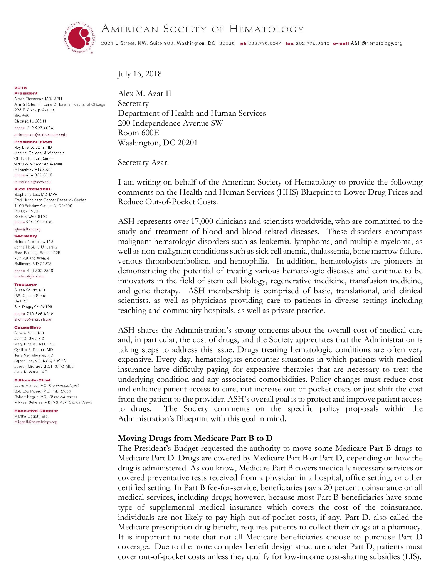AMERICAN SOCIETY OF HEMATOLOGY



2021 L Street, NW, Suite 900, Washington, DC 20036 ph 202.776.0544 tax 202.776.0545 e-mail ASH@hematology.org

## July 16, 2018

**2018 President** Alexis Thompson, MD, MPH Ann & Robert H. Lurie Children's Hospital of Chicago 225 E. Chicago Avenue Box #30 Chicago, IL 60611 phone 312-227-4834

#### a-thompson@northwestern.edu **President-Elect**

Roy L. Silverstein, MD Medical College of Wisconsin Clinical Cancer Center 9200 W. Wosconsin Avenue Milwaukee, WI 53226 phone 414-805-0518 rsilverstein@mcw.edu

### **Vice President**

Stephanie Lee, MD, MPH Fred Hutchinson Cancer Research Center 1100 Fairview Avenue N. D5-290 PO Box 19024 Seattle, WA 98109 phone 206-667-5160

#### sjlee@fhcrc.org Secretary

Robert A. Brodsky, MD Johns Hopkins University Ross Building, Room 1025 720 Rutland Avenue Baltimore, MD 21205 phone 410-502-2546 brodsro@ihmi.edu

### Treasurer

Susan Shurin, MD 222 Quince Street Unit 2C San Diego, CA 92103 phone 240-328-8542 shurinsb@mail.nih.gov

### **Councillors**

Steven Allen, MD John C. Byrd, MD Mary Dinauer, MD, PhD Cynthia E. Dunbar, MD Terry Gernsheimer, MD Agnes Lee, MD, MSC, FRCPC Joseph Mikhael, MD, FRCPC, MEd Jane N. Winter, MD

### Editors-In-Chief

Laura Mikhael, MD, The Hematologist Bob Lowenberg, MD, PhD, Blood Robert Negrin, MD, Blood Advances Mikkael Sekeres, MD, MS, ASH Clinical News

**Executive Director** Martha Liggett, Esg. mliggett@hematology.org

Alex M. Azar II Secretary Department of Health and Human Services 200 Independence Avenue SW Room 600E Washington, DC 20201

Secretary Azar:

I am writing on behalf of the American Society of Hematology to provide the following comments on the Health and Human Services (HHS) Blueprint to Lower Drug Prices and Reduce Out-of-Pocket Costs.

ASH represents over 17,000 clinicians and scientists worldwide, who are committed to the study and treatment of blood and blood-related diseases. These disorders encompass malignant hematologic disorders such as leukemia, lymphoma, and multiple myeloma, as well as non-malignant conditions such as sick cell anemia, thalassemia, bone marrow failure, venous thromboembolism, and hemophilia. In addition, hematologists are pioneers in demonstrating the potential of treating various hematologic diseases and continue to be innovators in the field of stem cell biology, regenerative medicine, transfusion medicine, and gene therapy. ASH membership is comprised of basic, translational, and clinical scientists, as well as physicians providing care to patients in diverse settings including teaching and community hospitals, as well as private practice.

ASH shares the Administration's strong concerns about the overall cost of medical care and, in particular, the cost of drugs, and the Society appreciates that the Administration is taking steps to address this issue. Drugs treating hematologic conditions are often very expensive. Every day, hematologists encounter situations in which patients with medical insurance have difficulty paying for expensive therapies that are necessary to treat the underlying condition and any associated comorbidities. Policy changes must reduce cost and enhance patient access to care, not increase out-of-pocket costs or just shift the cost from the patient to the provider. ASH's overall goal is to protect and improve patient access to drugs. The Society comments on the specific policy proposals within the Administration's Blueprint with this goal in mind.

### **Moving Drugs from Medicare Part B to D**

The President's Budget requested the authority to move some Medicare Part B drugs to Medicare Part D. Drugs are covered by Medicare Part B or Part D, depending on how the drug is administered. As you know, Medicare Part B covers medically necessary services or covered preventative tests received from a physician in a hospital, office setting, or other certified setting. In Part B fee-for-service, beneficiaries pay a 20 percent coinsurance on all medical services, including drugs; however, because most Part B beneficiaries have some type of supplemental medical insurance which covers the cost of the coinsurance, individuals are not likely to pay high out-of-pocket costs, if any. Part D, also called the Medicare prescription drug benefit, requires patients to collect their drugs at a pharmacy. It is important to note that not all Medicare beneficiaries choose to purchase Part D coverage. Due to the more complex benefit design structure under Part D, patients must cover out-of-pocket costs unless they qualify for low-income cost-sharing subsidies (LIS).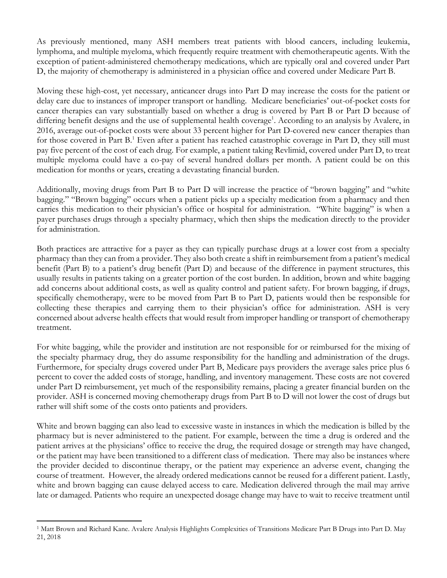As previously mentioned, many ASH members treat patients with blood cancers, including leukemia, lymphoma, and multiple myeloma, which frequently require treatment with chemotherapeutic agents. With the exception of patient-administered chemotherapy medications, which are typically oral and covered under Part D, the majority of chemotherapy is administered in a physician office and covered under Medicare Part B.

Moving these high-cost, yet necessary, anticancer drugs into Part D may increase the costs for the patient or delay care due to instances of improper transport or handling. Medicare beneficiaries' out-of-pocket costs for cancer therapies can vary substantially based on whether a drug is covered by Part B or Part D because of differing benefit designs and the use of supplemental health coverage<sup>1</sup>. According to an analysis by Avalere, in 2016, average out-of-pocket costs were about 33 percent higher for Part D-covered new cancer therapies than for those covered in Part B.<sup>1</sup> Even after a patient has reached catastrophic coverage in Part D, they still must pay five percent of the cost of each drug. For example, a patient taking Revlimid, covered under Part D, to treat multiple myeloma could have a co-pay of several hundred dollars per month. A patient could be on this medication for months or years, creating a devastating financial burden.

Additionally, moving drugs from Part B to Part D will increase the practice of "brown bagging" and "white bagging." "Brown bagging" occurs when a patient picks up a specialty medication from a pharmacy and then carries this medication to their physician's office or hospital for administration. "White bagging" is when a payer purchases drugs through a specialty pharmacy, which then ships the medication directly to the provider for administration.

Both practices are attractive for a payer as they can typically purchase drugs at a lower cost from a specialty pharmacy than they can from a provider. They also both create a shift in reimbursement from a patient's medical benefit (Part B) to a patient's drug benefit (Part D) and because of the difference in payment structures, this usually results in patients taking on a greater portion of the cost burden. In addition, brown and white bagging add concerns about additional costs, as well as quality control and patient safety. For brown bagging, if drugs, specifically chemotherapy, were to be moved from Part B to Part D, patients would then be responsible for collecting these therapies and carrying them to their physician's office for administration. ASH is very concerned about adverse health effects that would result from improper handling or transport of chemotherapy treatment.

For white bagging, while the provider and institution are not responsible for or reimbursed for the mixing of the specialty pharmacy drug, they do assume responsibility for the handling and administration of the drugs. Furthermore, for specialty drugs covered under Part B, Medicare pays providers the average sales price plus 6 percent to cover the added costs of storage, handling, and inventory management. These costs are not covered under Part D reimbursement, yet much of the responsibility remains, placing a greater financial burden on the provider. ASH is concerned moving chemotherapy drugs from Part B to D will not lower the cost of drugs but rather will shift some of the costs onto patients and providers.

White and brown bagging can also lead to excessive waste in instances in which the medication is billed by the pharmacy but is never administered to the patient. For example, between the time a drug is ordered and the patient arrives at the physicians' office to receive the drug, the required dosage or strength may have changed, or the patient may have been transitioned to a different class of medication. There may also be instances where the provider decided to discontinue therapy, or the patient may experience an adverse event, changing the course of treatment. However, the already ordered medications cannot be reused for a different patient. Lastly, white and brown bagging can cause delayed access to care. Medication delivered through the mail may arrive late or damaged. Patients who require an unexpected dosage change may have to wait to receive treatment until

 $\overline{a}$ <sup>1</sup> Matt Brown and Richard Kane. Avalere Analysis Highlights Complexities of Transitions Medicare Part B Drugs into Part D. May 21, 2018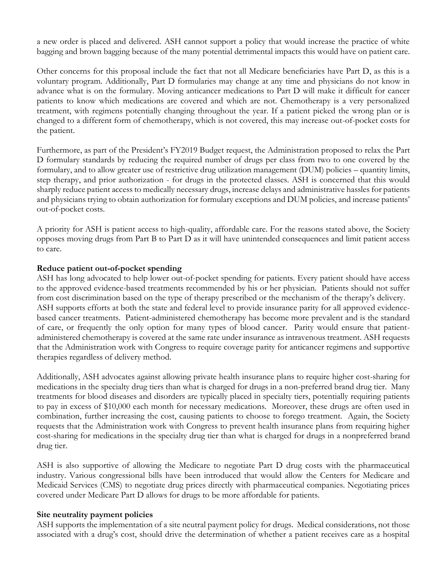a new order is placed and delivered. ASH cannot support a policy that would increase the practice of white bagging and brown bagging because of the many potential detrimental impacts this would have on patient care.

Other concerns for this proposal include the fact that not all Medicare beneficiaries have Part D, as this is a voluntary program. Additionally, Part D formularies may change at any time and physicians do not know in advance what is on the formulary. Moving anticancer medications to Part D will make it difficult for cancer patients to know which medications are covered and which are not. Chemotherapy is a very personalized treatment, with regimens potentially changing throughout the year. If a patient picked the wrong plan or is changed to a different form of chemotherapy, which is not covered, this may increase out-of-pocket costs for the patient.

Furthermore, as part of the President's FY2019 Budget request, the Administration proposed to relax the Part D formulary standards by reducing the required number of drugs per class from two to one covered by the formulary, and to allow greater use of restrictive drug utilization management (DUM) policies – quantity limits, step therapy, and prior authorization - for drugs in the protected classes. ASH is concerned that this would sharply reduce patient access to medically necessary drugs, increase delays and administrative hassles for patients and physicians trying to obtain authorization for formulary exceptions and DUM policies, and increase patients' out-of-pocket costs.

A priority for ASH is patient access to high-quality, affordable care. For the reasons stated above, the Society opposes moving drugs from Part B to Part D as it will have unintended consequences and limit patient access to care.

# **Reduce patient out-of-pocket spending**

ASH has long advocated to help lower out-of-pocket spending for patients. Every patient should have access to the approved evidence-based treatments recommended by his or her physician. Patients should not suffer from cost discrimination based on the type of therapy prescribed or the mechanism of the therapy's delivery. ASH supports efforts at both the state and federal level to provide insurance parity for all approved evidencebased cancer treatments. Patient-administered chemotherapy has become more prevalent and is the standard of care, or frequently the only option for many types of blood cancer. Parity would ensure that patientadministered chemotherapy is covered at the same rate under insurance as intravenous treatment. ASH requests that the Administration work with Congress to require coverage parity for anticancer regimens and supportive therapies regardless of delivery method.

Additionally, ASH advocates against allowing private health insurance plans to require higher cost-sharing for medications in the specialty drug tiers than what is charged for drugs in a non-preferred brand drug tier. Many treatments for blood diseases and disorders are typically placed in specialty tiers, potentially requiring patients to pay in excess of \$10,000 each month for necessary medications. Moreover, these drugs are often used in combination, further increasing the cost, causing patients to choose to forego treatment. Again, the Society requests that the Administration work with Congress to prevent health insurance plans from requiring higher cost-sharing for medications in the specialty drug tier than what is charged for drugs in a nonpreferred brand drug tier.

ASH is also supportive of allowing the Medicare to negotiate Part D drug costs with the pharmaceutical industry. Various congressional bills have been introduced that would allow the Centers for Medicare and Medicaid Services (CMS) to negotiate drug prices directly with pharmaceutical companies. Negotiating prices covered under Medicare Part D allows for drugs to be more affordable for patients.

# **Site neutrality payment policies**

ASH supports the implementation of a site neutral payment policy for drugs. Medical considerations, not those associated with a drug's cost, should drive the determination of whether a patient receives care as a hospital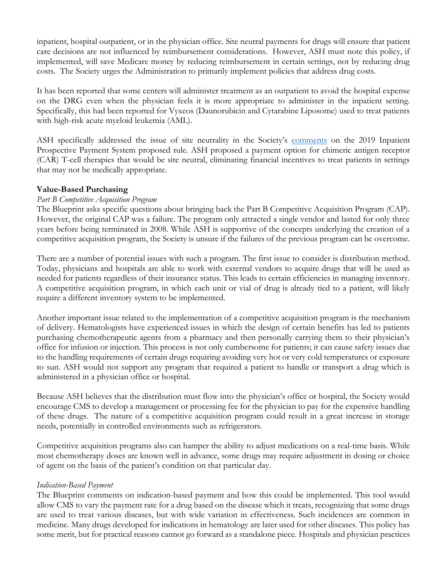inpatient, hospital outpatient, or in the physician office. Site neutral payments for drugs will ensure that patient care decisions are not influenced by reimbursement considerations. However, ASH must note this policy, if implemented, will save Medicare money by reducing reimbursement in certain settings, not by reducing drug costs. The Society urges the Administration to primarily implement policies that address drug costs.

It has been reported that some centers will administer treatment as an outpatient to avoid the hospital expense on the DRG even when the physician feels it is more appropriate to administer in the inpatient setting. Specifically, this had been reported for Vyxeos (Daunorubicin and Cytarabine Liposome) used to treat patients with high-risk acute myeloid leukemia (AML).

ASH specifically addressed the issue of site neutrality in the Society's [comments](http://www.hematology.org/Advocacy/ASH-Testimony/2018/8751.aspx) on the 2019 Inpatient Prospective Payment System proposed rule. ASH proposed a payment option for chimeric antigen receptor (CAR) T-cell therapies that would be site neutral, eliminating financial incentives to treat patients in settings that may not be medically appropriate.

# **Value-Based Purchasing**

## *Part B Competitive Acquisition Program*

The Blueprint asks specific questions about bringing back the Part B Competitive Acquisition Program (CAP). However, the original CAP was a failure. The program only attracted a single vendor and lasted for only three years before being terminated in 2008. While ASH is supportive of the concepts underlying the creation of a competitive acquisition program, the Society is unsure if the failures of the previous program can be overcome.

There are a number of potential issues with such a program. The first issue to consider is distribution method. Today, physicians and hospitals are able to work with external vendors to acquire drugs that will be used as needed for patients regardless of their insurance status. This leads to certain efficiencies in managing inventory. A competitive acquisition program, in which each unit or vial of drug is already tied to a patient, will likely require a different inventory system to be implemented.

Another important issue related to the implementation of a competitive acquisition program is the mechanism of delivery. Hematologists have experienced issues in which the design of certain benefits has led to patients purchasing chemotherapeutic agents from a pharmacy and then personally carrying them to their physician's office for infusion or injection. This process is not only cumbersome for patients; it can cause safety issues due to the handling requirements of certain drugs requiring avoiding very hot or very cold temperatures or exposure to sun. ASH would not support any program that required a patient to handle or transport a drug which is administered in a physician office or hospital.

Because ASH believes that the distribution must flow into the physician's office or hospital, the Society would encourage CMS to develop a management or processing fee for the physician to pay for the expensive handling of these drugs. The nature of a competitive acquisition program could result in a great increase in storage needs, potentially in controlled environments such as refrigerators.

Competitive acquisition programs also can hamper the ability to adjust medications on a real-time basis. While most chemotherapy doses are known well in advance, some drugs may require adjustment in dosing or choice of agent on the basis of the patient's condition on that particular day.

# *Indication-Based Payment*

The Blueprint comments on indication-based payment and how this could be implemented. This tool would allow CMS to vary the payment rate for a drug based on the disease which it treats, recognizing that some drugs are used to treat various diseases, but with wide variation in effectiveness. Such incidences are common in medicine. Many drugs developed for indications in hematology are later used for other diseases. This policy has some merit, but for practical reasons cannot go forward as a standalone piece. Hospitals and physician practices